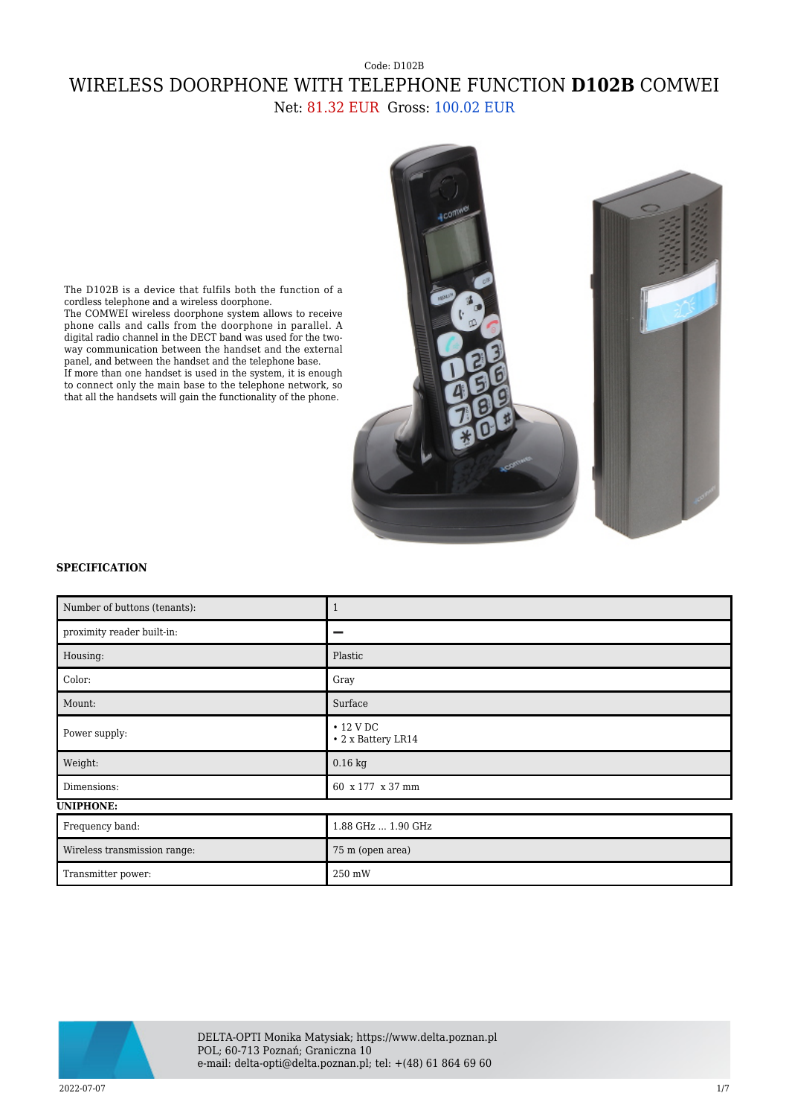## Code: D102B WIRELESS DOORPHONE WITH TELEPHONE FUNCTION **D102B** COMWEI Net: 81.32 EUR Gross: 100.02 EUR



The D102B is a device that fulfils both the function of a cordless telephone and a wireless doorphone. The COMWEI wireless doorphone system allows to receive phone calls and calls from the doorphone in parallel. A

digital radio channel in the DECT band was used for the two-

way communication between the handset and the external panel, and between the handset and the telephone base. If more than one handset is used in the system, it is enough to connect only the main base to the telephone network, so that all the handsets will gain the functionality of the phone.

## **SPECIFICATION**

| Number of buttons (tenants): | $\mathbf{1}$                          |
|------------------------------|---------------------------------------|
| proximity reader built-in:   | _                                     |
| Housing:                     | Plastic                               |
| Color:                       | Gray                                  |
| Mount:                       | Surface                               |
| Power supply:                | $\cdot$ 12 V DC<br>• 2 x Battery LR14 |
| Weight:                      | $0.16$ kg                             |
| Dimensions:                  | 60 x 177 x 37 mm                      |
| <b>UNIPHONE:</b>             |                                       |
| Frequency band:              | 1.88 GHz  1.90 GHz                    |
| Wireless transmission range: | 75 m (open area)                      |
| Transmitter power:           | 250 mW                                |



DELTA-OPTI Monika Matysiak; https://www.delta.poznan.pl POL; 60-713 Poznań; Graniczna 10 e-mail: delta-opti@delta.poznan.pl; tel: +(48) 61 864 69 60

2022-07-07 1/7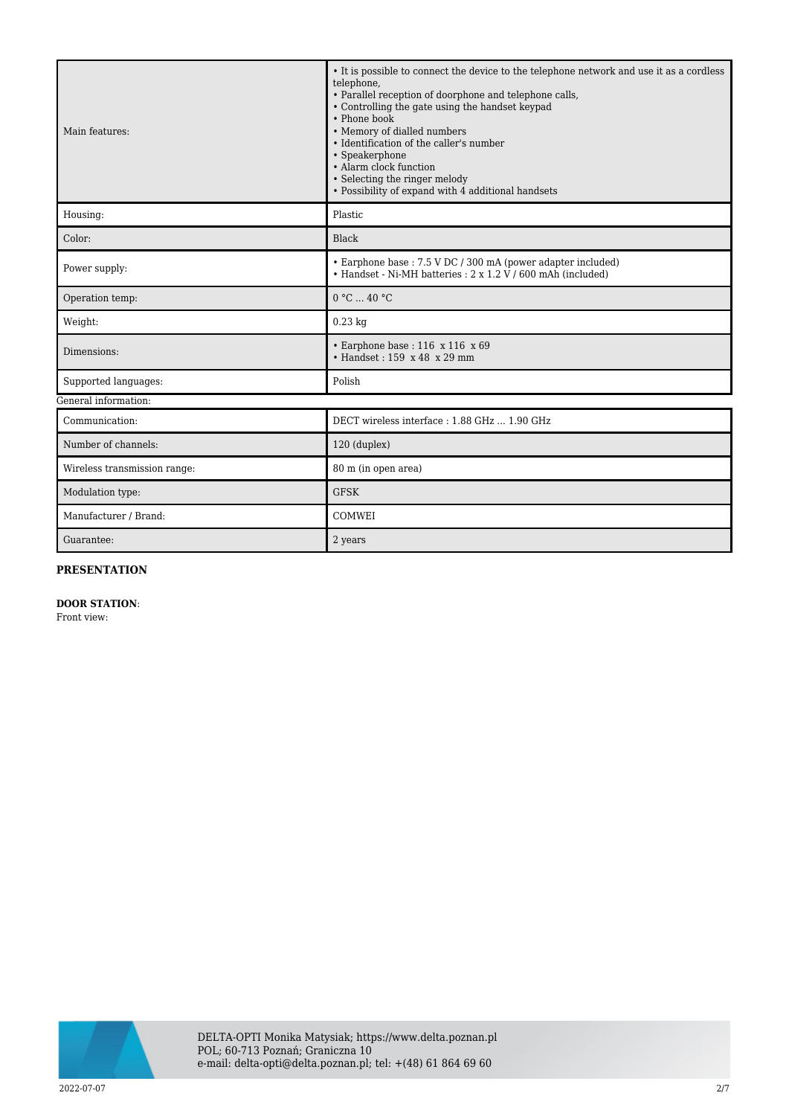| Main features:               | • It is possible to connect the device to the telephone network and use it as a cordless<br>telephone,<br>• Parallel reception of doorphone and telephone calls,<br>• Controlling the gate using the handset keypad<br>• Phone book<br>• Memory of dialled numbers<br>• Identification of the caller's number<br>• Speakerphone<br>• Alarm clock function<br>• Selecting the ringer melody<br>• Possibility of expand with 4 additional handsets |
|------------------------------|--------------------------------------------------------------------------------------------------------------------------------------------------------------------------------------------------------------------------------------------------------------------------------------------------------------------------------------------------------------------------------------------------------------------------------------------------|
| Housing:                     | Plastic                                                                                                                                                                                                                                                                                                                                                                                                                                          |
| Color:                       | Black                                                                                                                                                                                                                                                                                                                                                                                                                                            |
| Power supply:                | • Earphone base: 7.5 V DC / 300 mA (power adapter included)<br>• Handset - Ni-MH batteries : 2 x 1.2 V / 600 mAh (included)                                                                                                                                                                                                                                                                                                                      |
| Operation temp:              | 0 °C  40 °C                                                                                                                                                                                                                                                                                                                                                                                                                                      |
| Weight:                      | $0.23$ kg                                                                                                                                                                                                                                                                                                                                                                                                                                        |
| Dimensions:                  | $\cdot$ Earphone base: 116 x 116 x 69<br>• Handset: 159 x 48 x 29 mm                                                                                                                                                                                                                                                                                                                                                                             |
| Supported languages:         | Polish                                                                                                                                                                                                                                                                                                                                                                                                                                           |
| General information:         |                                                                                                                                                                                                                                                                                                                                                                                                                                                  |
| Communication:               | DECT wireless interface: 1.88 GHz  1.90 GHz                                                                                                                                                                                                                                                                                                                                                                                                      |
| Number of channels:          | 120 (duplex)                                                                                                                                                                                                                                                                                                                                                                                                                                     |
| Wireless transmission range: | 80 m (in open area)                                                                                                                                                                                                                                                                                                                                                                                                                              |
| Modulation type:             | <b>GFSK</b>                                                                                                                                                                                                                                                                                                                                                                                                                                      |
| Manufacturer / Brand:        | COMWEI                                                                                                                                                                                                                                                                                                                                                                                                                                           |
| Guarantee:                   | 2 years                                                                                                                                                                                                                                                                                                                                                                                                                                          |

## **PRESENTATION**

## **DOOR STATION**:

Front view:

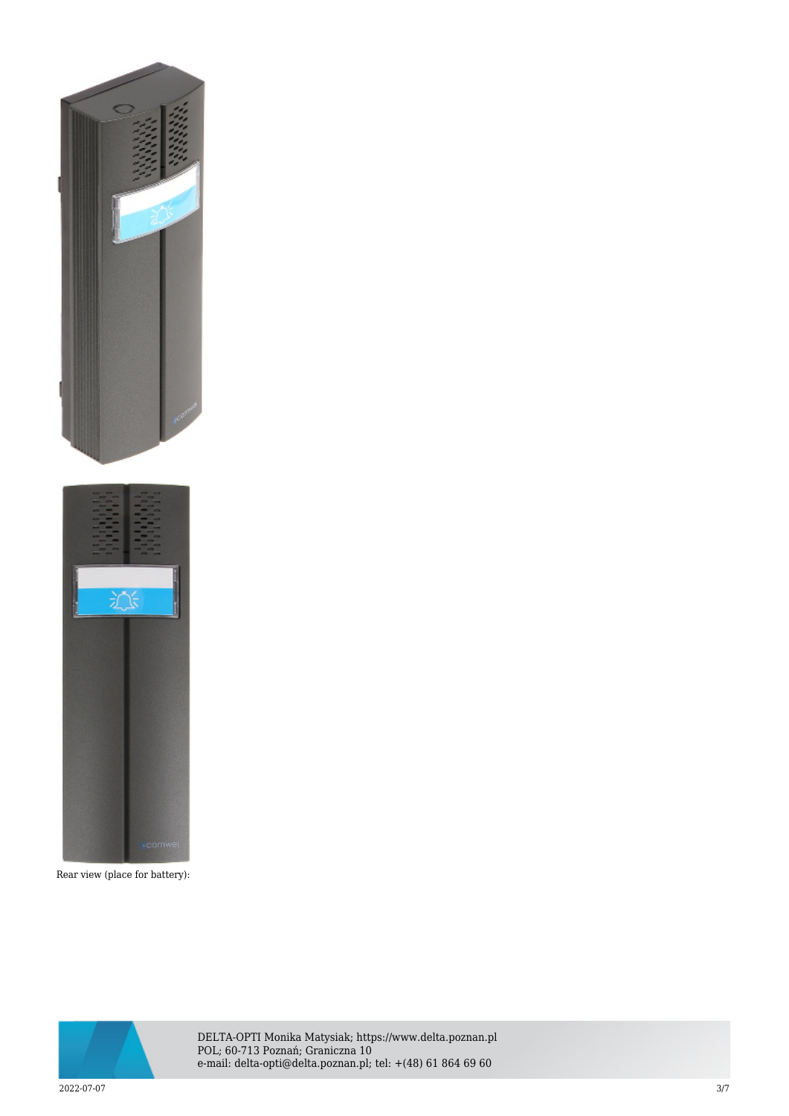

Rear view (place for battery):



DELTA-OPTI Monika Matysiak; https://www.delta.poznan.pl POL; 60-713 Poznań; Graniczna 10 e-mail: delta-opti@delta.poznan.pl; tel: +(48) 61 864 69 60

2022-07-07 3/7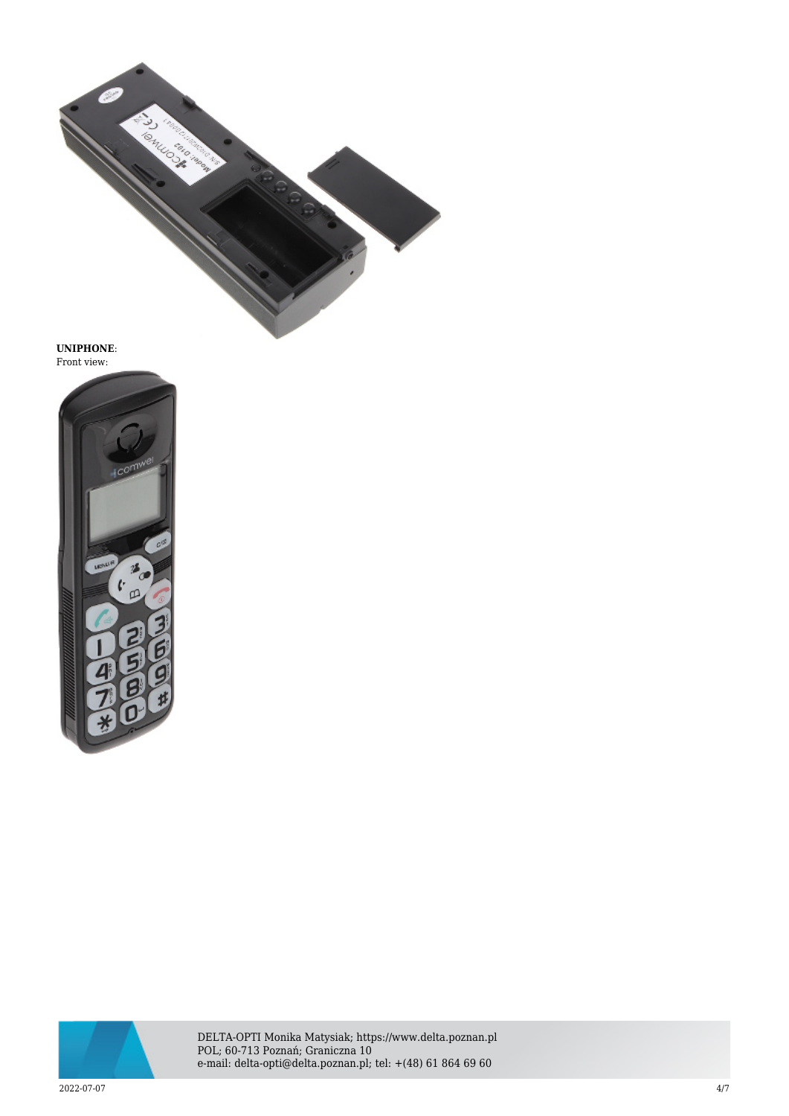

**UNIPHONE**: Front view:





DELTA-OPTI Monika Matysiak; https://www.delta.poznan.pl POL; 60-713 Poznań; Graniczna 10 e-mail: delta-opti@delta.poznan.pl; tel: +(48) 61 864 69 60

2022-07-07 4/7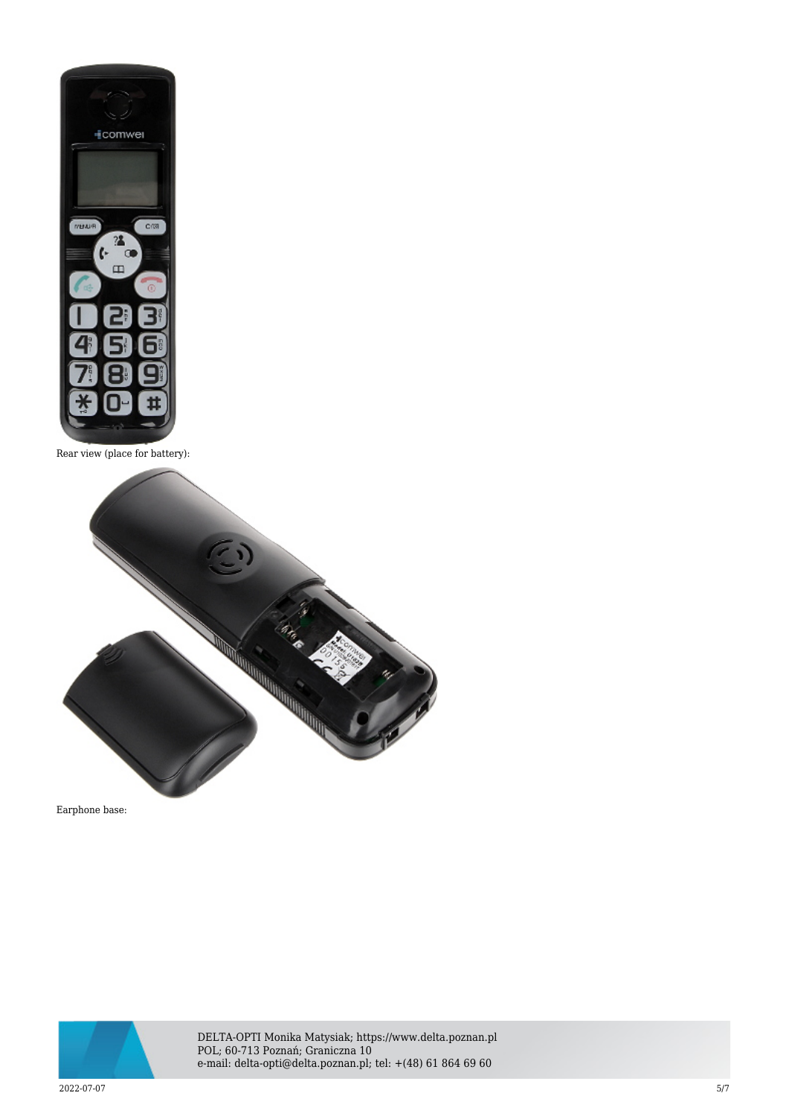

Rear view (place for battery):



Earphone base:



DELTA-OPTI Monika Matysiak; https://www.delta.poznan.pl POL; 60-713 Poznań; Graniczna 10 e-mail: delta-opti@delta.poznan.pl; tel: +(48) 61 864 69 60

2022-07-07 5/7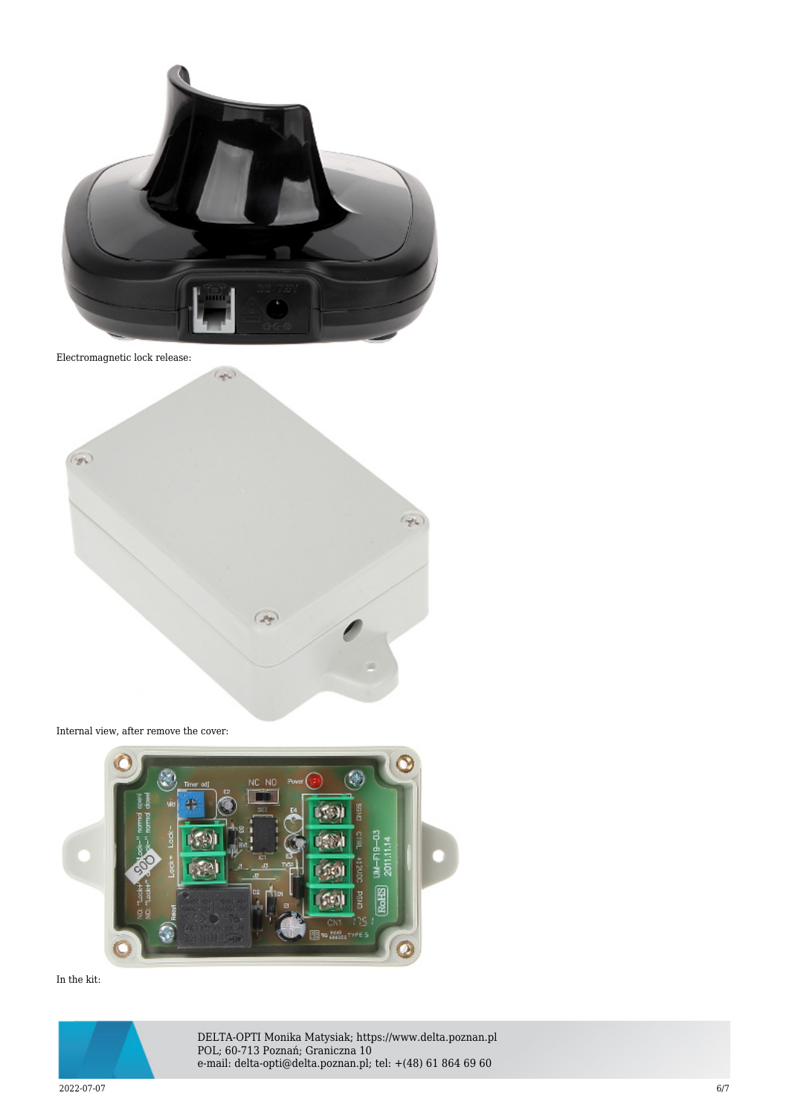

Electromagnetic lock release:



Internal view, after remove the cover:



In the kit:



DELTA-OPTI Monika Matysiak; https://www.delta.poznan.pl POL; 60-713 Poznań; Graniczna 10 e-mail: delta-opti@delta.poznan.pl; tel: +(48) 61 864 69 60

2022-07-07 6/7